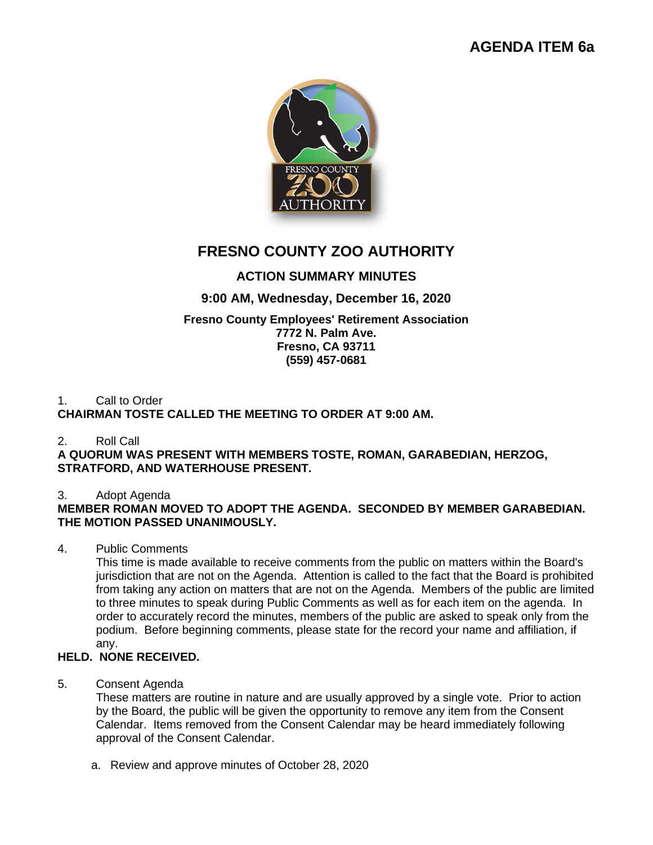# **AGENDA ITEM 6a**



# **FRESNO COUNTY ZOO AUTHORITY**

# **ACTION SUMMARY MINUTES**

# **9:00 AM, Wednesday, December 16, 2020**

#### **Fresno County Employees' Retirement Association 7772 N. Palm Ave. Fresno, CA 93711 (559) 457-0681**

#### 1. Call to Order **CHAIRMAN TOSTE CALLED THE MEETING TO ORDER AT 9:00 AM.**

# 2. Roll Call

**A QUORUM WAS PRESENT WITH MEMBERS TOSTE, ROMAN, GARABEDIAN, HERZOG, STRATFORD, AND WATERHOUSE PRESENT.**

# 3. Adopt Agenda

# **MEMBER ROMAN MOVED TO ADOPT THE AGENDA. SECONDED BY MEMBER GARABEDIAN. THE MOTION PASSED UNANIMOUSLY.**

# 4. Public Comments

This time is made available to receive comments from the public on matters within the Board's jurisdiction that are not on the Agenda. Attention is called to the fact that the Board is prohibited from taking any action on matters that are not on the Agenda. Members of the public are limited to three minutes to speak during Public Comments as well as for each item on the agenda. In order to accurately record the minutes, members of the public are asked to speak only from the podium. Before beginning comments, please state for the record your name and affiliation, if any.

# **HELD. NONE RECEIVED.**

5. Consent Agenda

These matters are routine in nature and are usually approved by a single vote. Prior to action by the Board, the public will be given the opportunity to remove any item from the Consent Calendar. Items removed from the Consent Calendar may be heard immediately following approval of the Consent Calendar.

a. Review and approve minutes of October 28, 2020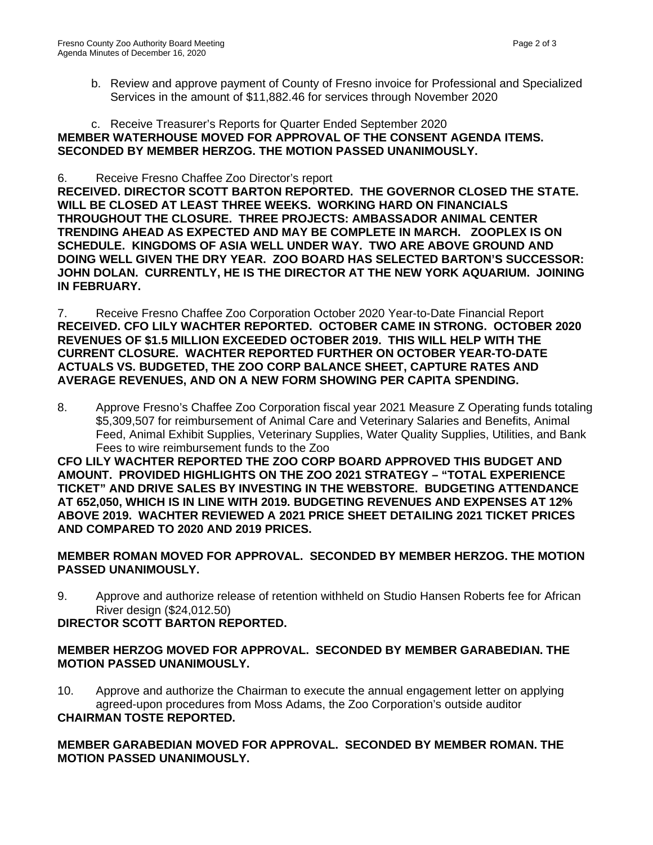b. Review and approve payment of County of Fresno invoice for Professional and Specialized Services in the amount of \$11,882.46 for services through November 2020

#### c. Receive Treasurer's Reports for Quarter Ended September 2020 **MEMBER WATERHOUSE MOVED FOR APPROVAL OF THE CONSENT AGENDA ITEMS. SECONDED BY MEMBER HERZOG. THE MOTION PASSED UNANIMOUSLY.**

#### 6. Receive Fresno Chaffee Zoo Director's report

**RECEIVED. DIRECTOR SCOTT BARTON REPORTED. THE GOVERNOR CLOSED THE STATE. WILL BE CLOSED AT LEAST THREE WEEKS. WORKING HARD ON FINANCIALS THROUGHOUT THE CLOSURE. THREE PROJECTS: AMBASSADOR ANIMAL CENTER TRENDING AHEAD AS EXPECTED AND MAY BE COMPLETE IN MARCH. ZOOPLEX IS ON SCHEDULE. KINGDOMS OF ASIA WELL UNDER WAY. TWO ARE ABOVE GROUND AND DOING WELL GIVEN THE DRY YEAR. ZOO BOARD HAS SELECTED BARTON'S SUCCESSOR: JOHN DOLAN. CURRENTLY, HE IS THE DIRECTOR AT THE NEW YORK AQUARIUM. JOINING IN FEBRUARY.** 

7. Receive Fresno Chaffee Zoo Corporation October 2020 Year-to-Date Financial Report **RECEIVED. CFO LILY WACHTER REPORTED. OCTOBER CAME IN STRONG. OCTOBER 2020 REVENUES OF \$1.5 MILLION EXCEEDED OCTOBER 2019. THIS WILL HELP WITH THE CURRENT CLOSURE. WACHTER REPORTED FURTHER ON OCTOBER YEAR-TO-DATE ACTUALS VS. BUDGETED, THE ZOO CORP BALANCE SHEET, CAPTURE RATES AND AVERAGE REVENUES, AND ON A NEW FORM SHOWING PER CAPITA SPENDING.** 

8. Approve Fresno's Chaffee Zoo Corporation fiscal year 2021 Measure Z Operating funds totaling \$5,309,507 for reimbursement of Animal Care and Veterinary Salaries and Benefits, Animal Feed, Animal Exhibit Supplies, Veterinary Supplies, Water Quality Supplies, Utilities, and Bank Fees to wire reimbursement funds to the Zoo

**CFO LILY WACHTER REPORTED THE ZOO CORP BOARD APPROVED THIS BUDGET AND AMOUNT. PROVIDED HIGHLIGHTS ON THE ZOO 2021 STRATEGY – "TOTAL EXPERIENCE TICKET" AND DRIVE SALES BY INVESTING IN THE WEBSTORE. BUDGETING ATTENDANCE AT 652,050, WHICH IS IN LINE WITH 2019. BUDGETING REVENUES AND EXPENSES AT 12% ABOVE 2019. WACHTER REVIEWED A 2021 PRICE SHEET DETAILING 2021 TICKET PRICES AND COMPARED TO 2020 AND 2019 PRICES.**

## **MEMBER ROMAN MOVED FOR APPROVAL. SECONDED BY MEMBER HERZOG. THE MOTION PASSED UNANIMOUSLY.**

9. Approve and authorize release of retention withheld on Studio Hansen Roberts fee for African River design (\$24,012.50)

## **DIRECTOR SCOTT BARTON REPORTED.**

## **MEMBER HERZOG MOVED FOR APPROVAL. SECONDED BY MEMBER GARABEDIAN. THE MOTION PASSED UNANIMOUSLY.**

10. Approve and authorize the Chairman to execute the annual engagement letter on applying agreed-upon procedures from Moss Adams, the Zoo Corporation's outside auditor **CHAIRMAN TOSTE REPORTED.**

**MEMBER GARABEDIAN MOVED FOR APPROVAL. SECONDED BY MEMBER ROMAN. THE MOTION PASSED UNANIMOUSLY.**